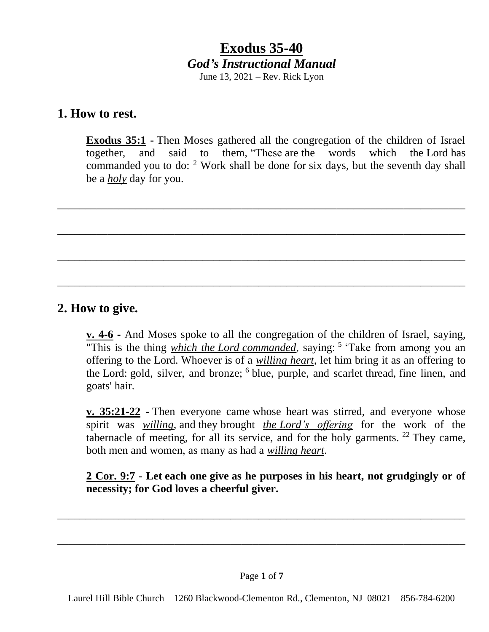**1. How to rest.**

**Exodus 35:1 -** Then Moses gathered all the congregation of the children of Israel together, and said to them, "These are the words which the Lord has commanded you to do: <sup>2</sup> Work shall be done for six days, but the seventh day shall be a *holy* day for you.

\_\_\_\_\_\_\_\_\_\_\_\_\_\_\_\_\_\_\_\_\_\_\_\_\_\_\_\_\_\_\_\_\_\_\_\_\_\_\_\_\_\_\_\_\_\_\_\_\_\_\_\_\_\_\_\_\_\_\_\_\_\_\_\_\_\_\_\_\_\_\_\_\_

\_\_\_\_\_\_\_\_\_\_\_\_\_\_\_\_\_\_\_\_\_\_\_\_\_\_\_\_\_\_\_\_\_\_\_\_\_\_\_\_\_\_\_\_\_\_\_\_\_\_\_\_\_\_\_\_\_\_\_\_\_\_\_\_\_\_\_\_\_\_\_\_\_

\_\_\_\_\_\_\_\_\_\_\_\_\_\_\_\_\_\_\_\_\_\_\_\_\_\_\_\_\_\_\_\_\_\_\_\_\_\_\_\_\_\_\_\_\_\_\_\_\_\_\_\_\_\_\_\_\_\_\_\_\_\_\_\_\_\_\_\_\_\_\_\_\_

\_\_\_\_\_\_\_\_\_\_\_\_\_\_\_\_\_\_\_\_\_\_\_\_\_\_\_\_\_\_\_\_\_\_\_\_\_\_\_\_\_\_\_\_\_\_\_\_\_\_\_\_\_\_\_\_\_\_\_\_\_\_\_\_\_\_\_\_\_\_\_\_\_

## **2. How to give.**

**v. 4-6 -** And Moses spoke to all the congregation of the children of Israel, saying, "This is the thing *which the Lord commanded*, saying: <sup>5</sup> 'Take from among you an offering to the Lord. Whoever is of a *willing heart*, let him bring it as an offering to the Lord: gold, silver, and bronze; <sup>6</sup> blue, purple, and scarlet thread, fine linen, and goats' hair.

**v. 35:21-22 -** Then everyone came whose heart was stirred, and everyone whose spirit was *willing*, and they brought *the Lord's offering* for the work of the tabernacle of meeting, for all its service, and for the holy garments.  $22$  They came, both men and women, as many as had a *willing heart*.

**2 Cor. 9:7 - Let each one give as he purposes in his heart, not grudgingly or of necessity; for God loves a cheerful giver.**

\_\_\_\_\_\_\_\_\_\_\_\_\_\_\_\_\_\_\_\_\_\_\_\_\_\_\_\_\_\_\_\_\_\_\_\_\_\_\_\_\_\_\_\_\_\_\_\_\_\_\_\_\_\_\_\_\_\_\_\_\_\_\_\_\_\_\_\_\_\_\_\_\_

\_\_\_\_\_\_\_\_\_\_\_\_\_\_\_\_\_\_\_\_\_\_\_\_\_\_\_\_\_\_\_\_\_\_\_\_\_\_\_\_\_\_\_\_\_\_\_\_\_\_\_\_\_\_\_\_\_\_\_\_\_\_\_\_\_\_\_\_\_\_\_\_\_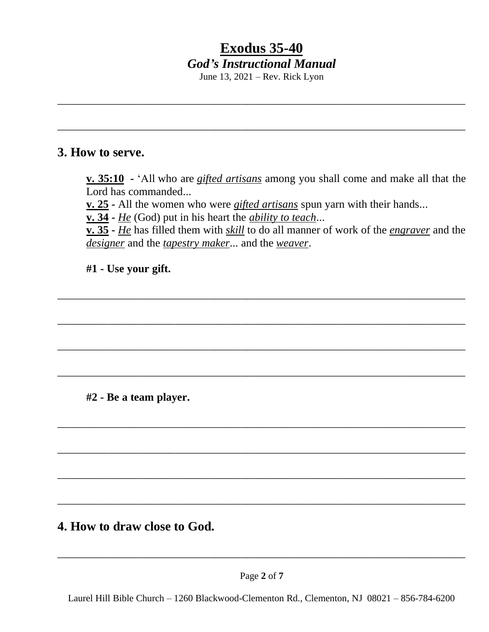# **Exodus 35-40** *God's Instructional Manual*

June 13, 2021 – Rev. Rick Lyon

\_\_\_\_\_\_\_\_\_\_\_\_\_\_\_\_\_\_\_\_\_\_\_\_\_\_\_\_\_\_\_\_\_\_\_\_\_\_\_\_\_\_\_\_\_\_\_\_\_\_\_\_\_\_\_\_\_\_\_\_\_\_\_\_\_\_\_\_\_\_\_\_\_

\_\_\_\_\_\_\_\_\_\_\_\_\_\_\_\_\_\_\_\_\_\_\_\_\_\_\_\_\_\_\_\_\_\_\_\_\_\_\_\_\_\_\_\_\_\_\_\_\_\_\_\_\_\_\_\_\_\_\_\_\_\_\_\_\_\_\_\_\_\_\_\_\_

## **3. How to serve.**

**v. 35:10 -** 'All who are *gifted artisans* among you shall come and make all that the Lord has commanded...

**v. 25 -** All the women who were *gifted artisans* spun yarn with their hands...

\_\_\_\_\_\_\_\_\_\_\_\_\_\_\_\_\_\_\_\_\_\_\_\_\_\_\_\_\_\_\_\_\_\_\_\_\_\_\_\_\_\_\_\_\_\_\_\_\_\_\_\_\_\_\_\_\_\_\_\_\_\_\_\_\_\_\_\_\_\_\_\_\_

\_\_\_\_\_\_\_\_\_\_\_\_\_\_\_\_\_\_\_\_\_\_\_\_\_\_\_\_\_\_\_\_\_\_\_\_\_\_\_\_\_\_\_\_\_\_\_\_\_\_\_\_\_\_\_\_\_\_\_\_\_\_\_\_\_\_\_\_\_\_\_\_\_

\_\_\_\_\_\_\_\_\_\_\_\_\_\_\_\_\_\_\_\_\_\_\_\_\_\_\_\_\_\_\_\_\_\_\_\_\_\_\_\_\_\_\_\_\_\_\_\_\_\_\_\_\_\_\_\_\_\_\_\_\_\_\_\_\_\_\_\_\_\_\_\_\_

\_\_\_\_\_\_\_\_\_\_\_\_\_\_\_\_\_\_\_\_\_\_\_\_\_\_\_\_\_\_\_\_\_\_\_\_\_\_\_\_\_\_\_\_\_\_\_\_\_\_\_\_\_\_\_\_\_\_\_\_\_\_\_\_\_\_\_\_\_\_\_\_\_

\_\_\_\_\_\_\_\_\_\_\_\_\_\_\_\_\_\_\_\_\_\_\_\_\_\_\_\_\_\_\_\_\_\_\_\_\_\_\_\_\_\_\_\_\_\_\_\_\_\_\_\_\_\_\_\_\_\_\_\_\_\_\_\_\_\_\_\_\_\_\_\_\_

\_\_\_\_\_\_\_\_\_\_\_\_\_\_\_\_\_\_\_\_\_\_\_\_\_\_\_\_\_\_\_\_\_\_\_\_\_\_\_\_\_\_\_\_\_\_\_\_\_\_\_\_\_\_\_\_\_\_\_\_\_\_\_\_\_\_\_\_\_\_\_\_\_

\_\_\_\_\_\_\_\_\_\_\_\_\_\_\_\_\_\_\_\_\_\_\_\_\_\_\_\_\_\_\_\_\_\_\_\_\_\_\_\_\_\_\_\_\_\_\_\_\_\_\_\_\_\_\_\_\_\_\_\_\_\_\_\_\_\_\_\_\_\_\_\_\_

\_\_\_\_\_\_\_\_\_\_\_\_\_\_\_\_\_\_\_\_\_\_\_\_\_\_\_\_\_\_\_\_\_\_\_\_\_\_\_\_\_\_\_\_\_\_\_\_\_\_\_\_\_\_\_\_\_\_\_\_\_\_\_\_\_\_\_\_\_\_\_\_\_

**v. 34 -** *He* (God) put in his heart the *ability to teach*...

**v. 35 -** *He* has filled them with *skill* to do all manner of work of the *engraver* and the *designer* and the *tapestry maker*... and the *weaver*.

**#1 - Use your gift.**

**#2 - Be a team player.**

## **4. How to draw close to God.**

\_\_\_\_\_\_\_\_\_\_\_\_\_\_\_\_\_\_\_\_\_\_\_\_\_\_\_\_\_\_\_\_\_\_\_\_\_\_\_\_\_\_\_\_\_\_\_\_\_\_\_\_\_\_\_\_\_\_\_\_\_\_\_\_\_\_\_\_\_\_\_\_\_

Laurel Hill Bible Church – 1260 Blackwood-Clementon Rd., Clementon, NJ 08021 – 856-784-6200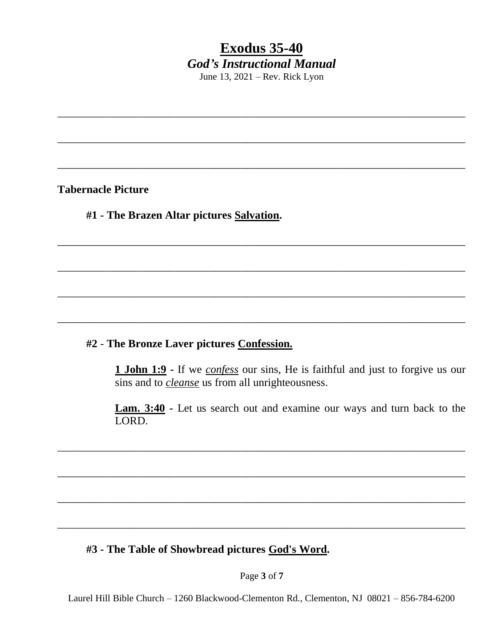\_\_\_\_\_\_\_\_\_\_\_\_\_\_\_\_\_\_\_\_\_\_\_\_\_\_\_\_\_\_\_\_\_\_\_\_\_\_\_\_\_\_\_\_\_\_\_\_\_\_\_\_\_\_\_\_\_\_\_\_\_\_\_\_\_\_\_\_\_\_\_\_\_

\_\_\_\_\_\_\_\_\_\_\_\_\_\_\_\_\_\_\_\_\_\_\_\_\_\_\_\_\_\_\_\_\_\_\_\_\_\_\_\_\_\_\_\_\_\_\_\_\_\_\_\_\_\_\_\_\_\_\_\_\_\_\_\_\_\_\_\_\_\_\_\_\_

\_\_\_\_\_\_\_\_\_\_\_\_\_\_\_\_\_\_\_\_\_\_\_\_\_\_\_\_\_\_\_\_\_\_\_\_\_\_\_\_\_\_\_\_\_\_\_\_\_\_\_\_\_\_\_\_\_\_\_\_\_\_\_\_\_\_\_\_\_\_\_\_\_

\_\_\_\_\_\_\_\_\_\_\_\_\_\_\_\_\_\_\_\_\_\_\_\_\_\_\_\_\_\_\_\_\_\_\_\_\_\_\_\_\_\_\_\_\_\_\_\_\_\_\_\_\_\_\_\_\_\_\_\_\_\_\_\_\_\_\_\_\_\_\_\_\_

\_\_\_\_\_\_\_\_\_\_\_\_\_\_\_\_\_\_\_\_\_\_\_\_\_\_\_\_\_\_\_\_\_\_\_\_\_\_\_\_\_\_\_\_\_\_\_\_\_\_\_\_\_\_\_\_\_\_\_\_\_\_\_\_\_\_\_\_\_\_\_\_\_

\_\_\_\_\_\_\_\_\_\_\_\_\_\_\_\_\_\_\_\_\_\_\_\_\_\_\_\_\_\_\_\_\_\_\_\_\_\_\_\_\_\_\_\_\_\_\_\_\_\_\_\_\_\_\_\_\_\_\_\_\_\_\_\_\_\_\_\_\_\_\_\_\_

\_\_\_\_\_\_\_\_\_\_\_\_\_\_\_\_\_\_\_\_\_\_\_\_\_\_\_\_\_\_\_\_\_\_\_\_\_\_\_\_\_\_\_\_\_\_\_\_\_\_\_\_\_\_\_\_\_\_\_\_\_\_\_\_\_\_\_\_\_\_\_\_\_

\_\_\_\_\_\_\_\_\_\_\_\_\_\_\_\_\_\_\_\_\_\_\_\_\_\_\_\_\_\_\_\_\_\_\_\_\_\_\_\_\_\_\_\_\_\_\_\_\_\_\_\_\_\_\_\_\_\_\_\_\_\_\_\_\_\_\_\_\_\_\_\_\_

\_\_\_\_\_\_\_\_\_\_\_\_\_\_\_\_\_\_\_\_\_\_\_\_\_\_\_\_\_\_\_\_\_\_\_\_\_\_\_\_\_\_\_\_\_\_\_\_\_\_\_\_\_\_\_\_\_\_\_\_\_\_\_\_\_\_\_\_\_\_\_\_\_

\_\_\_\_\_\_\_\_\_\_\_\_\_\_\_\_\_\_\_\_\_\_\_\_\_\_\_\_\_\_\_\_\_\_\_\_\_\_\_\_\_\_\_\_\_\_\_\_\_\_\_\_\_\_\_\_\_\_\_\_\_\_\_\_\_\_\_\_\_\_\_\_\_

\_\_\_\_\_\_\_\_\_\_\_\_\_\_\_\_\_\_\_\_\_\_\_\_\_\_\_\_\_\_\_\_\_\_\_\_\_\_\_\_\_\_\_\_\_\_\_\_\_\_\_\_\_\_\_\_\_\_\_\_\_\_\_\_\_\_\_\_\_\_\_\_\_

**Tabernacle Picture**

#### **#1 - The Brazen Altar pictures Salvation.**

#### **#2** - **The Bronze Laver pictures Confession.**

**1 John 1:9 -** If we *confess* our sins, He is faithful and just to forgive us our sins and to *cleanse* us from all unrighteousness.

**Lam. 3:40 -** Let us search out and examine our ways and turn back to the LORD.

#### **#3 - The Table of Showbread pictures God's Word.**

Page **3** of **7**

Laurel Hill Bible Church – 1260 Blackwood-Clementon Rd., Clementon, NJ 08021 – 856-784-6200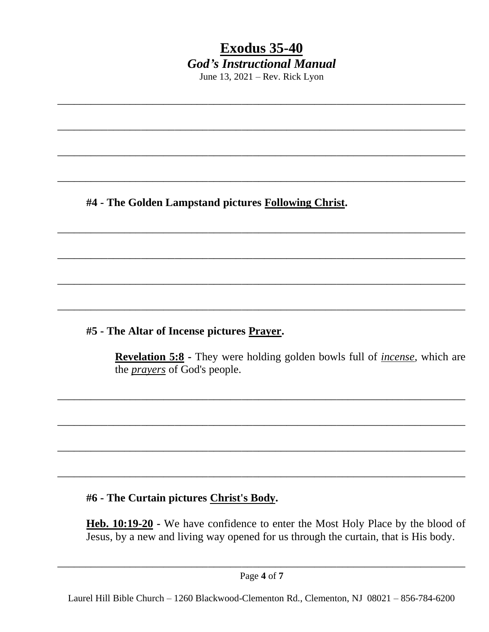\_\_\_\_\_\_\_\_\_\_\_\_\_\_\_\_\_\_\_\_\_\_\_\_\_\_\_\_\_\_\_\_\_\_\_\_\_\_\_\_\_\_\_\_\_\_\_\_\_\_\_\_\_\_\_\_\_\_\_\_\_\_\_\_\_\_\_\_\_\_\_\_\_

\_\_\_\_\_\_\_\_\_\_\_\_\_\_\_\_\_\_\_\_\_\_\_\_\_\_\_\_\_\_\_\_\_\_\_\_\_\_\_\_\_\_\_\_\_\_\_\_\_\_\_\_\_\_\_\_\_\_\_\_\_\_\_\_\_\_\_\_\_\_\_\_\_

\_\_\_\_\_\_\_\_\_\_\_\_\_\_\_\_\_\_\_\_\_\_\_\_\_\_\_\_\_\_\_\_\_\_\_\_\_\_\_\_\_\_\_\_\_\_\_\_\_\_\_\_\_\_\_\_\_\_\_\_\_\_\_\_\_\_\_\_\_\_\_\_\_

\_\_\_\_\_\_\_\_\_\_\_\_\_\_\_\_\_\_\_\_\_\_\_\_\_\_\_\_\_\_\_\_\_\_\_\_\_\_\_\_\_\_\_\_\_\_\_\_\_\_\_\_\_\_\_\_\_\_\_\_\_\_\_\_\_\_\_\_\_\_\_\_\_

\_\_\_\_\_\_\_\_\_\_\_\_\_\_\_\_\_\_\_\_\_\_\_\_\_\_\_\_\_\_\_\_\_\_\_\_\_\_\_\_\_\_\_\_\_\_\_\_\_\_\_\_\_\_\_\_\_\_\_\_\_\_\_\_\_\_\_\_\_\_\_\_\_

\_\_\_\_\_\_\_\_\_\_\_\_\_\_\_\_\_\_\_\_\_\_\_\_\_\_\_\_\_\_\_\_\_\_\_\_\_\_\_\_\_\_\_\_\_\_\_\_\_\_\_\_\_\_\_\_\_\_\_\_\_\_\_\_\_\_\_\_\_\_\_\_\_

\_\_\_\_\_\_\_\_\_\_\_\_\_\_\_\_\_\_\_\_\_\_\_\_\_\_\_\_\_\_\_\_\_\_\_\_\_\_\_\_\_\_\_\_\_\_\_\_\_\_\_\_\_\_\_\_\_\_\_\_\_\_\_\_\_\_\_\_\_\_\_\_\_

\_\_\_\_\_\_\_\_\_\_\_\_\_\_\_\_\_\_\_\_\_\_\_\_\_\_\_\_\_\_\_\_\_\_\_\_\_\_\_\_\_\_\_\_\_\_\_\_\_\_\_\_\_\_\_\_\_\_\_\_\_\_\_\_\_\_\_\_\_\_\_\_\_

\_\_\_\_\_\_\_\_\_\_\_\_\_\_\_\_\_\_\_\_\_\_\_\_\_\_\_\_\_\_\_\_\_\_\_\_\_\_\_\_\_\_\_\_\_\_\_\_\_\_\_\_\_\_\_\_\_\_\_\_\_\_\_\_\_\_\_\_\_\_\_\_\_

\_\_\_\_\_\_\_\_\_\_\_\_\_\_\_\_\_\_\_\_\_\_\_\_\_\_\_\_\_\_\_\_\_\_\_\_\_\_\_\_\_\_\_\_\_\_\_\_\_\_\_\_\_\_\_\_\_\_\_\_\_\_\_\_\_\_\_\_\_\_\_\_\_

\_\_\_\_\_\_\_\_\_\_\_\_\_\_\_\_\_\_\_\_\_\_\_\_\_\_\_\_\_\_\_\_\_\_\_\_\_\_\_\_\_\_\_\_\_\_\_\_\_\_\_\_\_\_\_\_\_\_\_\_\_\_\_\_\_\_\_\_\_\_\_\_\_

\_\_\_\_\_\_\_\_\_\_\_\_\_\_\_\_\_\_\_\_\_\_\_\_\_\_\_\_\_\_\_\_\_\_\_\_\_\_\_\_\_\_\_\_\_\_\_\_\_\_\_\_\_\_\_\_\_\_\_\_\_\_\_\_\_\_\_\_\_\_\_\_\_

**#4 - The Golden Lampstand pictures Following Christ.**

**#5 - The Altar of Incense pictures Prayer.**

**Revelation 5:8 -** They were holding golden bowls full of *incense*, which are the *prayers* of God's people.

## **#6 - The Curtain pictures Christ's Body.**

**Heb. 10:19-20 -** We have confidence to enter the Most Holy Place by the blood of Jesus, by a new and living way opened for us through the curtain, that is His body.

Page **4** of **7** \_\_\_\_\_\_\_\_\_\_\_\_\_\_\_\_\_\_\_\_\_\_\_\_\_\_\_\_\_\_\_\_\_\_\_\_\_\_\_\_\_\_\_\_\_\_\_\_\_\_\_\_\_\_\_\_\_\_\_\_\_\_\_\_\_\_\_\_\_\_\_\_\_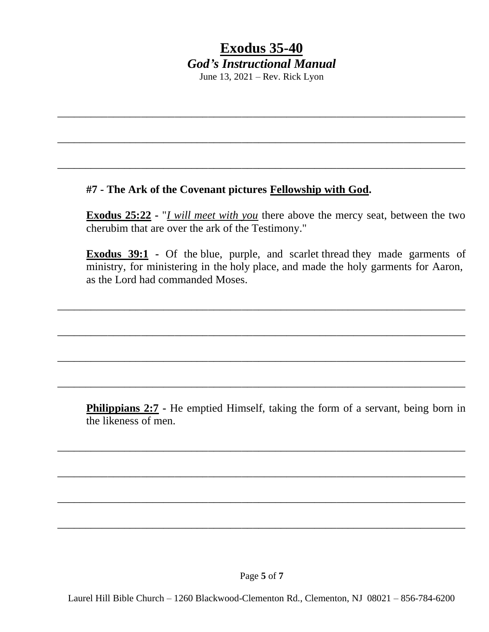\_\_\_\_\_\_\_\_\_\_\_\_\_\_\_\_\_\_\_\_\_\_\_\_\_\_\_\_\_\_\_\_\_\_\_\_\_\_\_\_\_\_\_\_\_\_\_\_\_\_\_\_\_\_\_\_\_\_\_\_\_\_\_\_\_\_\_\_\_\_\_\_\_

\_\_\_\_\_\_\_\_\_\_\_\_\_\_\_\_\_\_\_\_\_\_\_\_\_\_\_\_\_\_\_\_\_\_\_\_\_\_\_\_\_\_\_\_\_\_\_\_\_\_\_\_\_\_\_\_\_\_\_\_\_\_\_\_\_\_\_\_\_\_\_\_\_

\_\_\_\_\_\_\_\_\_\_\_\_\_\_\_\_\_\_\_\_\_\_\_\_\_\_\_\_\_\_\_\_\_\_\_\_\_\_\_\_\_\_\_\_\_\_\_\_\_\_\_\_\_\_\_\_\_\_\_\_\_\_\_\_\_\_\_\_\_\_\_\_\_

#### **#7 - The Ark of the Covenant pictures Fellowship with God.**

**Exodus 25:22 -** "*I will meet with you* there above the mercy seat, between the two cherubim that are over the ark of the Testimony."

**Exodus 39:1 -** Of the blue, purple, and scarlet thread they made garments of ministry, for ministering in the holy place, and made the holy garments for Aaron, as the Lord had commanded Moses.

\_\_\_\_\_\_\_\_\_\_\_\_\_\_\_\_\_\_\_\_\_\_\_\_\_\_\_\_\_\_\_\_\_\_\_\_\_\_\_\_\_\_\_\_\_\_\_\_\_\_\_\_\_\_\_\_\_\_\_\_\_\_\_\_\_\_\_\_\_\_\_\_\_

\_\_\_\_\_\_\_\_\_\_\_\_\_\_\_\_\_\_\_\_\_\_\_\_\_\_\_\_\_\_\_\_\_\_\_\_\_\_\_\_\_\_\_\_\_\_\_\_\_\_\_\_\_\_\_\_\_\_\_\_\_\_\_\_\_\_\_\_\_\_\_\_\_

\_\_\_\_\_\_\_\_\_\_\_\_\_\_\_\_\_\_\_\_\_\_\_\_\_\_\_\_\_\_\_\_\_\_\_\_\_\_\_\_\_\_\_\_\_\_\_\_\_\_\_\_\_\_\_\_\_\_\_\_\_\_\_\_\_\_\_\_\_\_\_\_\_

\_\_\_\_\_\_\_\_\_\_\_\_\_\_\_\_\_\_\_\_\_\_\_\_\_\_\_\_\_\_\_\_\_\_\_\_\_\_\_\_\_\_\_\_\_\_\_\_\_\_\_\_\_\_\_\_\_\_\_\_\_\_\_\_\_\_\_\_\_\_\_\_\_

\_\_\_\_\_\_\_\_\_\_\_\_\_\_\_\_\_\_\_\_\_\_\_\_\_\_\_\_\_\_\_\_\_\_\_\_\_\_\_\_\_\_\_\_\_\_\_\_\_\_\_\_\_\_\_\_\_\_\_\_\_\_\_\_\_\_\_\_\_\_\_\_\_

\_\_\_\_\_\_\_\_\_\_\_\_\_\_\_\_\_\_\_\_\_\_\_\_\_\_\_\_\_\_\_\_\_\_\_\_\_\_\_\_\_\_\_\_\_\_\_\_\_\_\_\_\_\_\_\_\_\_\_\_\_\_\_\_\_\_\_\_\_\_\_\_\_

\_\_\_\_\_\_\_\_\_\_\_\_\_\_\_\_\_\_\_\_\_\_\_\_\_\_\_\_\_\_\_\_\_\_\_\_\_\_\_\_\_\_\_\_\_\_\_\_\_\_\_\_\_\_\_\_\_\_\_\_\_\_\_\_\_\_\_\_\_\_\_\_\_

\_\_\_\_\_\_\_\_\_\_\_\_\_\_\_\_\_\_\_\_\_\_\_\_\_\_\_\_\_\_\_\_\_\_\_\_\_\_\_\_\_\_\_\_\_\_\_\_\_\_\_\_\_\_\_\_\_\_\_\_\_\_\_\_\_\_\_\_\_\_\_\_\_

**Philippians 2:7 -** He emptied Himself, taking the form of a servant, being born in the likeness of men.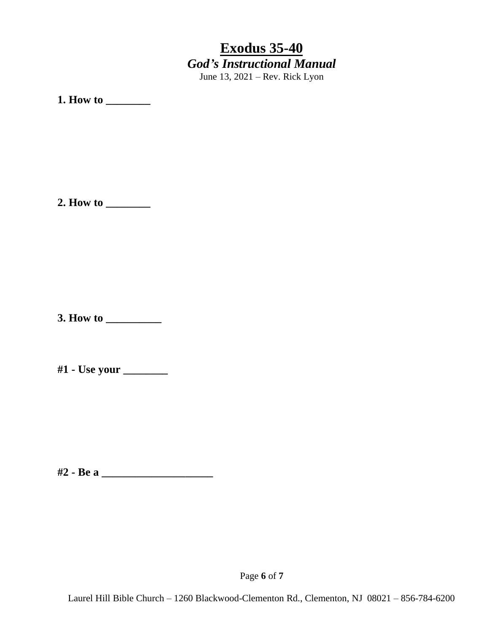**1. How to \_\_\_\_\_\_\_\_**

**2. How to \_\_\_\_\_\_\_\_**

**3. How to \_\_\_\_\_\_\_\_\_\_**

**#1 - Use your \_\_\_\_\_\_\_\_**

**#2 - Be a \_\_\_\_\_\_\_\_\_\_\_\_\_\_\_\_\_\_\_\_**

Page **6** of **7**